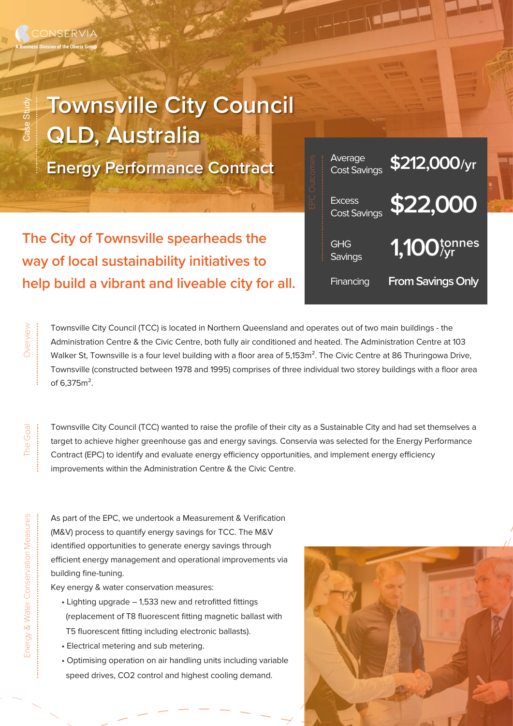## **Townsville City Council QLD, Australia**

**Energy Performance Contract**

**The City of Townsville spearheads the way of local sustainability initiatives to help build a vibrant and liveable city for all.**



Townsville City Council (TCC) is located in Northern Queensland and operates out of two main buildings - the Administration Centre & the Civic Centre, both fully air conditioned and heated. The Administration Centre at 103 Walker St, Townsville is a four level building with a floor area of 5,153m<sup>2</sup>. The Civic Centre at 86 Thuringowa Drive, Townsville (constructed between 1978 and 1995) comprises of three individual two storey buildings with a floor area of 6,375m².

Overview

Case Study

.................................

...........................

Townsville City Council (TCC) wanted to raise the profile of their city as a Sustainable City and had set themselves a target to achieve higher greenhouse gas and energy savings. Conservia was selected for the Energy Performance Contract (EPC) to identify and evaluate energy efficiency opportunities, and implement energy efficiency improvements within the Administration Centre & the Civic Centre.

As part of the EPC, we undertook a Measurement & Verification (M&V) process to quantify energy savings for TCC. The M&V identified opportunities to generate energy savings through efficient energy management and operational improvements via building fine-tuning.

Key energy & water conservation measures:

- Lighting upgrade 1,533 new and retrofitted fittings (replacement of T8 fluorescent fitting magnetic ballast with T5 fluorescent fitting including electronic ballasts).
- Electrical metering and sub metering.
- Optimising operation on air handling units including variable speed drives, CO2 control and highest cooling demand.



.......................................................................